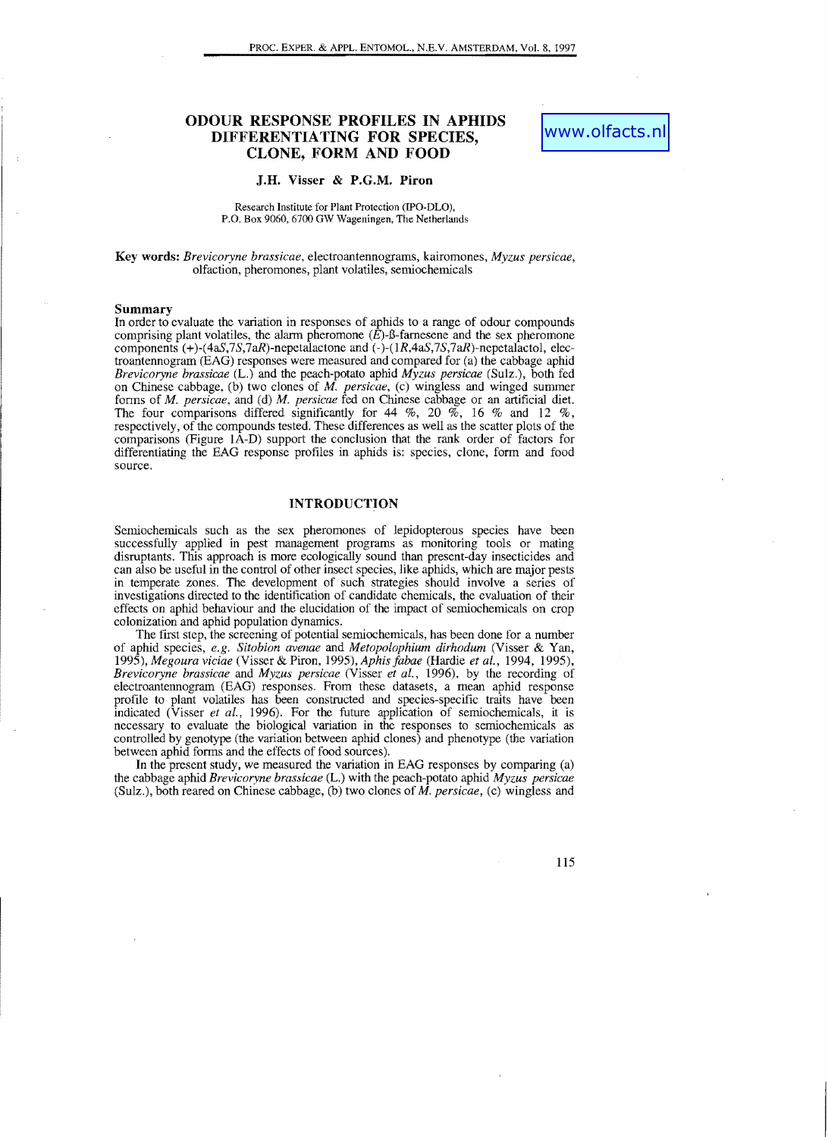# **ODOUR RESPONSE PROFILES IN APHIDS DIFFERENTIATING FOR SPECIES, CLONE, FORM AND FOOD**

### **J.H. Visser & P.G.M. Piron**

#### Research Institute for Plant Protection (IPO-DLO), P.O. Box 9060, 6700 GW Wageningen, The Netherlands

**Key words:** *Brevicoryne brassicae,* electroantennograms, kairomones, *Myzus persicae,*  olfaction, pheromones, plant volatiles, semiochemicals

#### **Summary**

In order to evaluate the variation in responses of aphids to a range of odour compounds comprising plant volatiles, the alarm pheromone  $(E)$ -B-farnesene and the sex pheromone components  $(+)$ -(4aS, 7S, 7aR)-nepetalactone and  $(-)$ -(1R, 4aS, 7S, 7aR)-nepetalactol, electroantennogram (EAG) responses were measured and compared for (a) the cabbage aphid *Brevicoryne brassicae* (L.) and the peach-potato aphid *Myzus persicae* (Sulz.), both fed on Chinese cabbage, (b) two clones of *M. persicae,* (c) wingless and winged summer forms of *M. persicae*, and (d) *M. persicae* fed on Chinese cabbage or an artificial diet. The four comparisons differed significantly for 44 %, 20 %, 16 % and 12 %, respectively, of the compounds tested. These differences as well as the scatter plots of the comparisons (Figure lA-D) support the conclusion that the rank order of factors for differentiating the EAG response profiles in aphids is: species, clone, form and food source.

### **INTRODUCTION**

Semiochemicals such as the sex pheromones of lepidopterous species have been successfully applied in pest management programs as monitoring tools or mating disruptants. This approach is more ecologically sound than present-day insecticides and can also be useful in the control of other insect species, like aphids, which are major pests in temperate zones. The development of such strategies should involve a series of investigations directed to the identification of candidate chemicals, the evaluation of their effects on aphid behaviour and the elucidation of the impact of semiochemicals on crop colonization and aphid population dynamics.

The first step, the screening of potential semiochemicals, has been done for a number of aphid species, *e.g. Sitobion avenae* and *Metopolophium dirhodum* (Visser & Yan, *1995), Megoura viciae* (Visser & Piron, 1995), *Aphis fabae* (Hardie *et al.,* 1994, 1995), *Brevicoryne brassicae* and *Myzus persicae* (Visser *et aI.,* 1996), by the recording of electroantennograrn (EAG) responses. From these datasets, a mean aphid response profile to plant volatiles has been constructed and species-specific traits have been indicated (Visser *et al.,* 1996). For the future application of semiochemicals, it is necessary to evaluate the biological variation in the responses to semiochemicals as controlled by genotype (the variation between aphid clones) and phenotype (the variation between aphid forms and the effects of food sources).

In the present study, we measured the variation in EAG responses by comparing (a) the cabbage aphid *Brevicoryne brassicae* (L.) with the peach-potato aphid *Myzus persicae*  (Sulz.), both reared on Chinese cabbage, (b) two clones of *M. persicae,* (c) wingless and

115

www.olfacts.r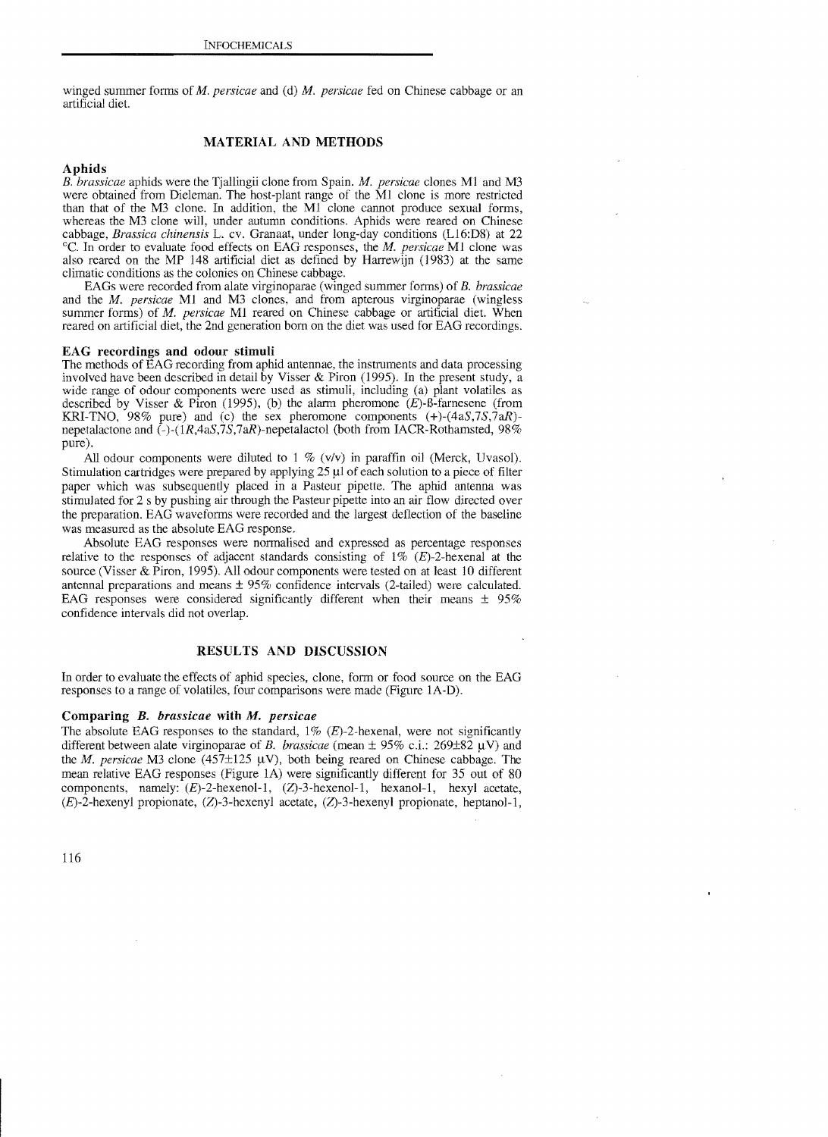winged summer forms of *M. persicae* and (d) *M. persicae* fed on Chinese cabbage or an artificial diet.

# MATERIAL AND METHODS

# Aphids

B. *brassicae* aphids were the Tjallingii clone from Spain. *M. persicae* clones Ml and M3 were obtained from Dieleman. The host-plant range of the MI clone is more restricted than that of the M3 clone. In addition. the MI clone cannot produce sexual forms, whereas the M3 clone will, under autumn conditions. Aphids were reared on Chinese cabbage, *Brassica chinensis* L. cv. Granaat, under long-day conditions (Ll6:D8) at 22 0c. In order to evaluate food effects on EAG responses, the *M. persicae* MI clone was also reared on the MP 148 artificial diet as defined by Harrewijn (1983) at the same climatic conditions as the colonies on Chinese cabbage.

EAGs were recorded from alate virginoparae (winged summer forms) of *B. brassicae*  and the *M. persicae* Ml and M3 clones, and from apterous virginoparae (wingless summer forms) of *M. persicae* MI reared on Chinese cabbage or artificial diet. When reared on artificial diet, the 2nd generation born on the diet was used for EAG recordings.

#### EAG recordings and odour stimuli

The methods of EAG recording from aphid antennae, the instruments and data processing involved have been described in detail by Visser & Piron (1995). In the present study, a wide range of odour components were used as stimuli, including (a) plant volatiles as described by Visser & Piron (1995), (b) the alarm pheromone  $(E)$ -B-farnesene (from KRI-TNO, 98% pure) and (c) the sex pheromone components  $(+)$ - $(4aS,7S,7aR)$ nepetalactone and  $\zeta$ -(1R,4aS,7S,7aR)-nepetalactol (both from IACR-Rothamsted, 98% pure).

All odour components were diluted to 1 % (v/v) in paraffin oil (Merck, Uvasol). Stimulation cartridges were prepared by applying  $25 \mu$ l of each solution to a piece of filter paper which was subsequently placed in a Pasteur pipette. The aphid antenna was stimulated for 2 s by pushing air through the Pasteur pipette into an air flow directed over the preparation. EAG waveforms were recorded and the largest deflection of the baseline was measured as the absolute EAG response.

Absolute EAG responses were normalised and expressed as percentage responses relative to the responses of adjacent standards consisting of  $1\%$  (E)-2-hexenal at the source (Visser & Piron, 1995). All odour components were tested on at least 10 different antennal preparations and means ± 95% confidence intervals (2-tailed) were calculated. EAG responses were considered significantly different when their means  $\pm$  95% confidence intervals did not overlap.

## RESULTS AND DISCUSSION

In order to evaluate the effects of aphid species, clone, form or food source on the EAG responses to a range of volatiles, four comparisons were made (Figure lA-D).

#### Comparing *B. brassicae* with *M. persicae*

The absolute EAG responses to the standard,  $1\%$  (E)-2-hexenal, were not significantly different between alate virginoparae of *B. brassicae* (mean  $\pm$  95% c.i.: 269 $\pm$ 82  $\mu$ V) and the *M. persicae* M3 clone (457 $\pm$ 125  $\mu$ V), both being reared on Chinese cabbage. The mean relative EAG responses (Figure lA) were significantly different for 35 out of 80 components, namely:  $(E)$ -2-hexenol-1,  $(Z)$ -3-hexenol-1, hexanol-1, hexyl acetate, (E)-2-hexenyl propionate, (Z)-3-hexenyl acetate, (Z)-3-hexenyl propionate, heptanol-l,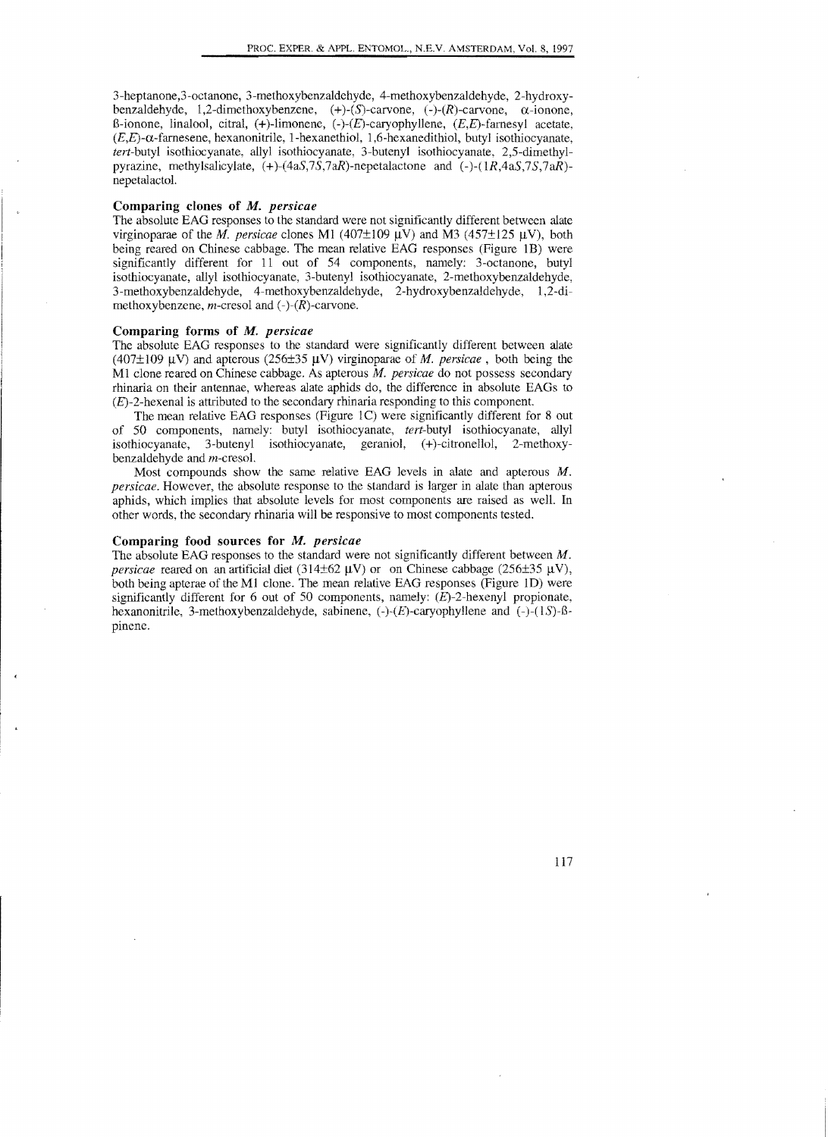3-heptanone,3-octanone, 3-methoxybenzaldehyde, 4-methoxybenzaldehyde, 2-hydroxybenzaldehyde, 1,2-dimethoxybenzene,  $(+)$ - $(S)$ -carvone,  $(-)$ - $(R)$ -carvone,  $\alpha$ -ionone, 8-ionone, linalool, citral,  $(+)$ -limonene,  $(-)(E)$ -caryophyllene,  $(E,E)$ -farnesyl acetate,  $(E,E)$ - $\alpha$ -farnesene, hexanonitrile, 1-hexanethiol, 1,6-hexanedithiol, butyl isothiocyanate, *tert-butyl* isothiocyanate, allyl isothiocyanate, 3-butenyl isothiocyanate, 2,5-dimethylpyrazine, methylsalicylate,  $(+)$ - $(4aS,7S,7aR)$ -nepetalactone and  $(-)$ - $(1R,4aS,7,$ nepetalactol. *S,7aR)*

### **Comparing clones**  of M. *persicae*

The absolute EAG responses to the standard were not significantly different between alate virginoparae of the *M. persicae* clones M1 (407±109  $\mu$ V) and M3 (457±125  $\mu$ V), both being reared on Chinese cabbage. The mean relative EAG responses (Figure IB) were significantly different for 11 out of 54 components, namely: 3-octanone, butyl isothiocyanate, allyl isothiocyanate, 3-butenyl isothiocyanate, 2-methoxybenzaldehyde, 3-methoxybenzaldehyde, 4-methoxybenzaldehyde, 2-hydroxybenzaldehyde, 1,2-dimethoxybenzene, *m*-cresol and  $(-)$ - $(R)$ -carvone.

### **Comparing** forms of M. *persicae*

The absolute EAG responses to the standard were significantly different between alate (407 $\pm$ 109  $\mu$ V) and apterous (256 $\pm$ 35  $\mu$ V) virginoparae of *M. persicae*, both being the MI clone reared on Chinese cabbage. As apterous M. *persicae* do not possess secondary rhinaria on their antennae, whereas alate aphids do, the difference in absolute EAGs to  $(E)$ -2-hexenal is attributed to the secondary rhinaria responding to this component.

The mean relative EAG responses (Figure 1C) were significantly different for 8 out of 50 components, namely: butyl isothiocyanate, *tert-butyl* isothiocyanate, allyl isothiocyanate, 3-butenyl isothiocyanate, geraniol, (+)-citronellol, 2-methoxybenzaldehyde and m-cresol.

Most compounds show the same relative EAG levels in alate and apterous M. *persicae.* However, the absolute response to the standard is larger in alate than apterous aphids, which implies that absolute levels for most components are raised as well. In other words, the secondary rhinaria will be responsive to most components tested.

## **Comparing** food sources **for** M. *persicae*

 The absolute EAG responses to the standard were not significantly different between M. *persicae* reared on an artificial diet (314±62  $\mu$ V) or on Chinese cabbage (256±35  $\mu$ V), both being apterae of the M1 clone. The mean relative EAG responses (Figure 1D) were significantly different for 6 out of 50 components, namely:  $(E)$ -2-hexenyl propionate, hexanonitrile, 3-methoxybenzaldehyde, sabinene,  $(-)$ - $(E)$ -caryophyllene and  $(-)$ - $(1S)$ - $\beta$ pinene.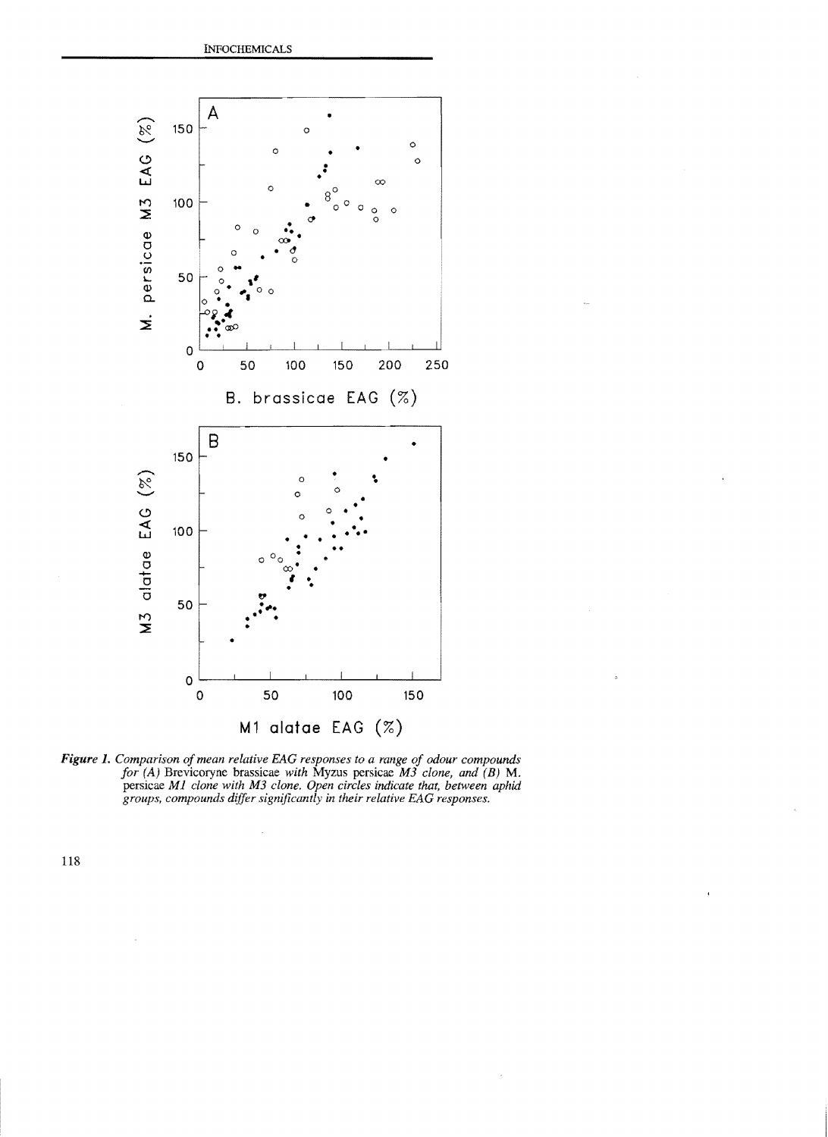

Figure 1. Comparison of mean relative EAG responses to a range of odour compounds *for (A)* Brevicoryne brassicae *with* Myzus persicae M3 *clone, and (B)* M. persicae Ml *clone with* M3 *clone. Open circles indicate that, between aphid groups, compounds differ significantly* in *their relative EAG responses.* 

118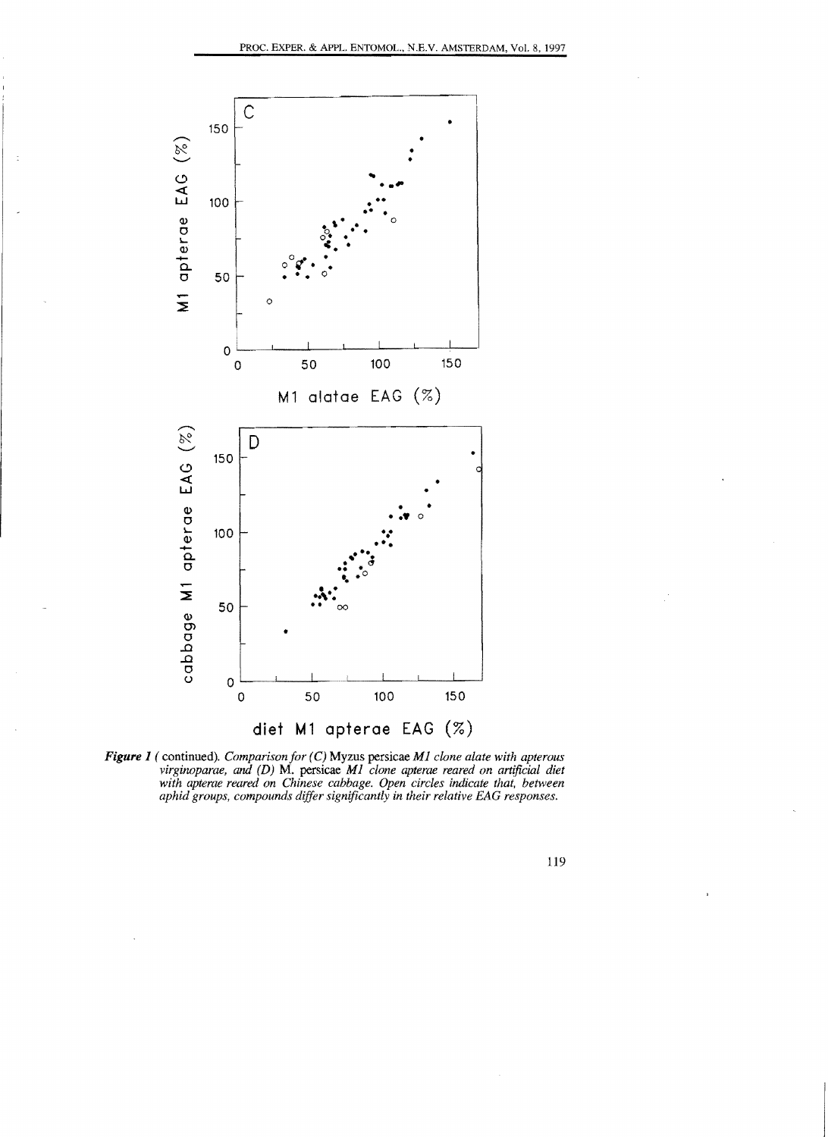



119